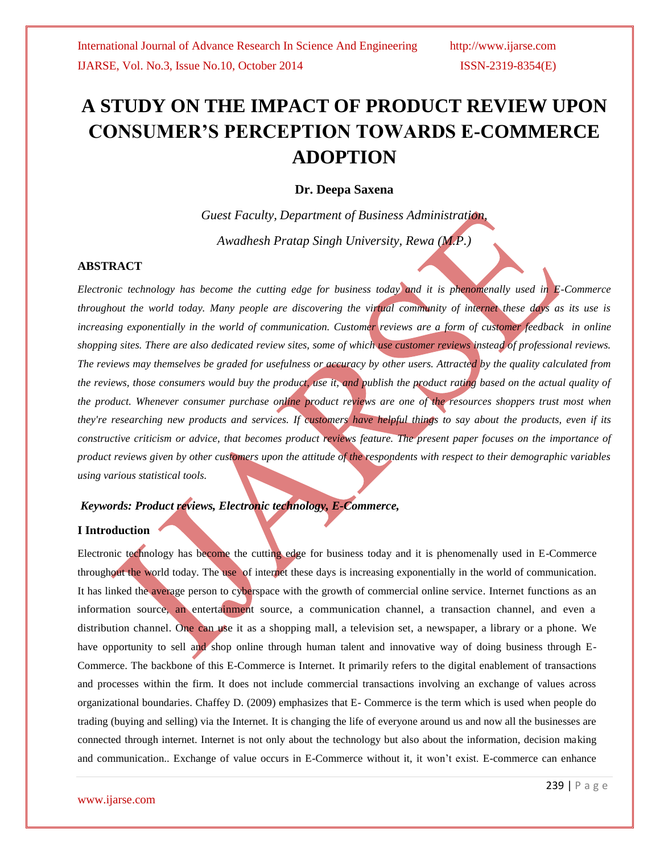# **A STUDY ON THE IMPACT OF PRODUCT REVIEW UPON CONSUMER'S PERCEPTION TOWARDS E-COMMERCE ADOPTION**

### **Dr. Deepa Saxena**

*Guest Faculty, Department of Business Administration, Awadhesh Pratap Singh University, Rewa (M.P.)*

### **ABSTRACT**

*Electronic technology has become the cutting edge for business today and it is phenomenally used in E-Commerce throughout the world today. Many people are discovering the virtual community of internet these days as its use is increasing exponentially in the world of communication. Customer reviews are a form of [customer feedback](http://en.wikipedia.org/wiki/Customer_feedback) in [online](http://en.wikipedia.org/wiki/Online_shopping)  [shopping](http://en.wikipedia.org/wiki/Online_shopping) sites. There are also dedicated [review sites,](http://en.wikipedia.org/wiki/Review_site) some of which use customer reviews instead of professional reviews. The reviews may themselves be graded for usefulness or accuracy by other users. Attracted by the quality calculated from the reviews, those consumers would buy the product, use it, and publish the product rating based on the actual quality of the product. Whenever consumer purchase online product reviews are one of the resources shoppers trust most when they're researching new products and services. If customers have helpful things to say about the products, even if its constructive criticism or advice, that becomes product reviews feature. The present paper focuses on the importance of product reviews given by other customers upon the attitude of the respondents with respect to their demographic variables using various statistical tools.*

## *Keywords: Product reviews, Electronic technology, E-Commerce,*

#### **I Introduction**

Electronic technology has become the cutting edge for business today and it is phenomenally used in E-Commerce throughout the world today. The use of internet these days is increasing exponentially in the world of communication. It has linked the average person to cyberspace with the growth of commercial online service. Internet functions as an information source, an entertainment source, a communication channel, a transaction channel, and even a distribution channel. One can use it as a shopping mall, a television set, a newspaper, a library or a phone. We have opportunity to sell and shop online through human talent and innovative way of doing business through E-Commerce. The backbone of this E-Commerce is Internet. It primarily refers to the digital enablement of transactions and processes within the firm. It does not include commercial transactions involving an exchange of values across organizational boundaries. Chaffey D. (2009) emphasizes that E- Commerce is the term which is used when people do trading (buying and selling) via the Internet. It is changing the life of everyone around us and now all the businesses are connected through internet. Internet is not only about the technology but also about the information, decision making and communication.. Exchange of value occurs in E-Commerce without it, it won't exist. E-commerce can enhance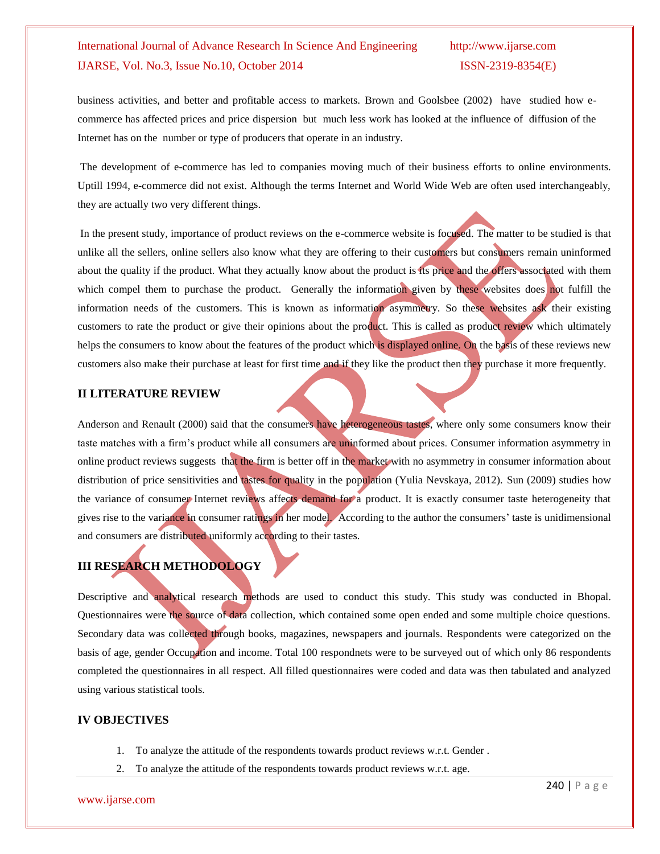business activities, and better and profitable access to markets. Brown and Goolsbee (2002) have studied how ecommerce has affected prices and price dispersion but much less work has looked at the influence of diffusion of the Internet has on the number or type of producers that operate in an industry.

The development of e-commerce has led to companies moving much of their business efforts to online environments. Uptill 1994, e-commerce did not exist. Although the terms Internet and World Wide Web are often used interchangeably, they are actually two very different things.

In the present study, importance of product reviews on the e-commerce website is focused. The matter to be studied is that unlike all the sellers, online sellers also know what they are offering to their customers but consumers remain uninformed about the quality if the product. What they actually know about the product is its price and the offers associated with them which compel them to purchase the product. Generally the information given by these websites does not fulfill the information needs of the customers. This is known as information asymmetry. So these websites ask their existing customers to rate the product or give their opinions about the product. This is called as product review which ultimately helps the consumers to know about the features of the product which is displayed online. On the basis of these reviews new customers also make their purchase at least for first time and if they like the product then they purchase it more frequently.

### **II LITERATURE REVIEW**

Anderson and Renault (2000) said that the consumers have heterogeneous tastes, where only some consumers know their taste matches with a firm's product while all consumers are uninformed about prices. Consumer information asymmetry in online product reviews suggests that the firm is better off in the market with no asymmetry in consumer information about distribution of price sensitivities and tastes for quality in the population (Yulia Nevskaya, 2012). Sun (2009) studies how the variance of consumer Internet reviews affects demand for a product. It is exactly consumer taste heterogeneity that gives rise to the variance in consumer ratings in her model. According to the author the consumers' taste is unidimensional and consumers are distributed uniformly according to their tastes.

# **III RESEARCH METHODOLOGY**

Descriptive and analytical research methods are used to conduct this study. This study was conducted in Bhopal. Questionnaires were the source of data collection, which contained some open ended and some multiple choice questions. Secondary data was collected through books, magazines, newspapers and journals. Respondents were categorized on the basis of age, gender Occupation and income. Total 100 respondnets were to be surveyed out of which only 86 respondents completed the questionnaires in all respect. All filled questionnaires were coded and data was then tabulated and analyzed using various statistical tools.

### **IV OBJECTIVES**

- 1. To analyze the attitude of the respondents towards product reviews w.r.t. Gender .
- 2. To analyze the attitude of the respondents towards product reviews w.r.t. age.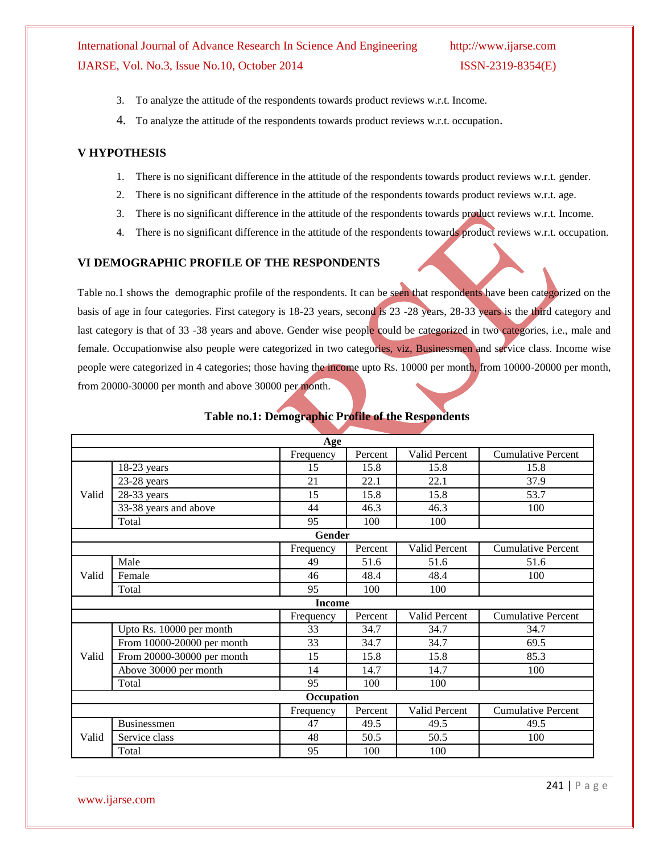- 3. To analyze the attitude of the respondents towards product reviews w.r.t. Income.
- 4. To analyze the attitude of the respondents towards product reviews w.r.t. occupation.

#### **V HYPOTHESIS**

- 1. There is no significant difference in the attitude of the respondents towards product reviews w.r.t. gender.
- 2. There is no significant difference in the attitude of the respondents towards product reviews w.r.t. age.
- 3. There is no significant difference in the attitude of the respondents towards product reviews w.r.t. Income.
- 4. There is no significant difference in the attitude of the respondents towards product reviews w.r.t. occupation.

### **VI DEMOGRAPHIC PROFILE OF THE RESPONDENTS**

Table no.1 shows the demographic profile of the respondents. It can be seen that respondents have been categorized on the basis of age in four categories. First category is 18-23 years, second is 23 -28 years, 28-33 years is the third category and last category is that of 33 -38 years and above. Gender wise people could be categorized in two categories, i.e., male and female. Occupationwise also people were categorized in two categories, viz, Businessmen and service class. Income wise people were categorized in 4 categories; those having the income upto Rs. 10000 per month, from 10000-20000 per month, from 20000-30000 per month and above 30000 per month.

|       |                            | Age           |         |               |                           |  |  |  |  |
|-------|----------------------------|---------------|---------|---------------|---------------------------|--|--|--|--|
|       |                            | Frequency     | Percent | Valid Percent | <b>Cumulative Percent</b> |  |  |  |  |
|       | 18-23 years                | 15            | 15.8    | 15.8          | 15.8                      |  |  |  |  |
|       | $23-28$ years              | 21            | 22.1    | 22.1          | 37.9                      |  |  |  |  |
| Valid | 28-33 years                | 15            | 15.8    | 15.8          | 53.7                      |  |  |  |  |
|       | 33-38 years and above      | 44            | 46.3    | 46.3          | 100                       |  |  |  |  |
|       | Total                      | 95            | 100     | 100           |                           |  |  |  |  |
|       |                            | Gender        |         |               |                           |  |  |  |  |
|       |                            | Frequency     | Percent | Valid Percent | <b>Cumulative Percent</b> |  |  |  |  |
|       | Male                       | 49            | 51.6    | 51.6          | 51.6                      |  |  |  |  |
| Valid | Female                     | 46            | 48.4    | 48.4          | 100                       |  |  |  |  |
|       | Total                      | 95            | 100     | 100           |                           |  |  |  |  |
|       |                            | <b>Income</b> |         |               |                           |  |  |  |  |
|       |                            | Frequency     | Percent | Valid Percent | <b>Cumulative Percent</b> |  |  |  |  |
|       | Upto Rs. 10000 per month   | 33            | 34.7    | 34.7          | 34.7                      |  |  |  |  |
|       | From 10000-20000 per month | 33            | 34.7    | 34.7          | 69.5                      |  |  |  |  |
| Valid | From 20000-30000 per month | 15            | 15.8    | 15.8          | 85.3                      |  |  |  |  |
|       | Above 30000 per month      | 14            | 14.7    | 14.7          | 100                       |  |  |  |  |
|       | Total                      | 95            | 100     | 100           |                           |  |  |  |  |
|       | Occupation                 |               |         |               |                           |  |  |  |  |
|       |                            | Frequency     | Percent | Valid Percent | <b>Cumulative Percent</b> |  |  |  |  |
|       | Businessmen                | 47            | 49.5    | 49.5          | 49.5                      |  |  |  |  |
| Valid | Service class              | 48            | 50.5    | 50.5          | 100                       |  |  |  |  |
|       | Total                      | 95            | 100     | 100           |                           |  |  |  |  |

#### **Table no.1: Demographic Profile of the Respondents**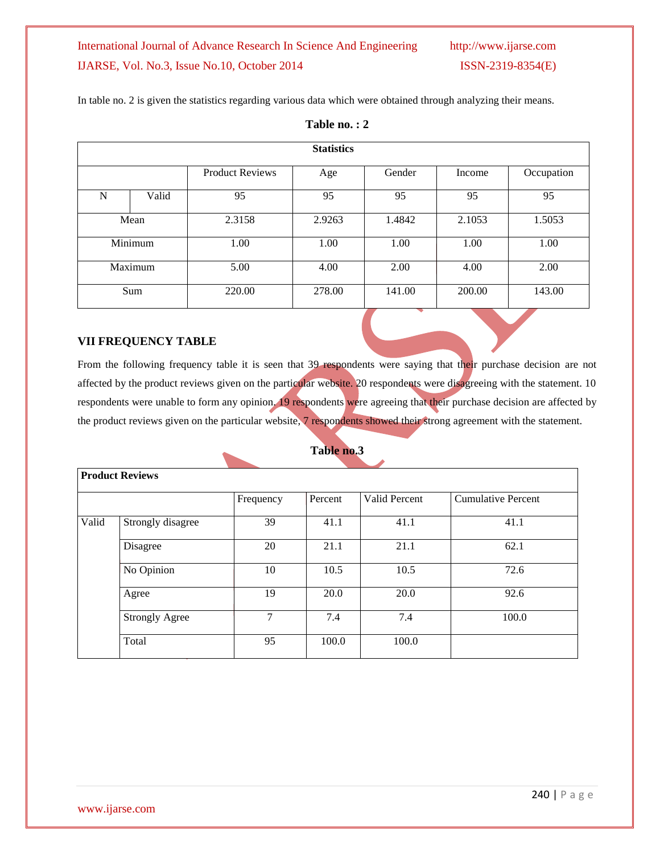In table no. 2 is given the statistics regarding various data which were obtained through analyzing their means.

|         | <b>Statistics</b> |                        |        |        |        |            |  |  |  |  |
|---------|-------------------|------------------------|--------|--------|--------|------------|--|--|--|--|
|         |                   | <b>Product Reviews</b> | Age    | Gender | Income | Occupation |  |  |  |  |
| N       | Valid             | 95                     | 95     | 95     | 95     | 95         |  |  |  |  |
|         | Mean              | 2.3158                 | 2.9263 | 1.4842 | 2.1053 | 1.5053     |  |  |  |  |
|         | Minimum           | 1.00                   | 1.00   | 1.00   | 1.00   | 1.00       |  |  |  |  |
| Maximum |                   | 5.00                   | 4.00   | 2.00   | 4.00   | 2.00       |  |  |  |  |
| Sum     |                   | 220.00                 | 278.00 | 141.00 | 200.00 | 143.00     |  |  |  |  |

## **Table no. : 2**

## **VII FREQUENCY TABLE**

From the following frequency table it is seen that 39 respondents were saying that their purchase decision are not affected by the product reviews given on the particular website. 20 respondents were disagreeing with the statement. 10 respondents were unable to form any opinion. 19 respondents were agreeing that their purchase decision are affected by the product reviews given on the particular website, 7 respondents showed their strong agreement with the statement.

### **Table no.3**

|       | <b>Product Reviews</b> |           |         |               |                           |
|-------|------------------------|-----------|---------|---------------|---------------------------|
|       |                        |           |         |               |                           |
|       |                        | Frequency | Percent | Valid Percent | <b>Cumulative Percent</b> |
|       |                        |           |         |               |                           |
| Valid | Strongly disagree      | 39        | 41.1    | 41.1          | 41.1                      |
|       | Disagree               | 20        | 21.1    | 21.1          | 62.1                      |
|       | No Opinion             | 10        | 10.5    | 10.5          | 72.6                      |
|       | Agree                  | 19        | 20.0    | 20.0          | 92.6                      |
|       | <b>Strongly Agree</b>  | 7         | 7.4     | 7.4           | 100.0                     |
|       | Total                  | 95        | 100.0   | 100.0         |                           |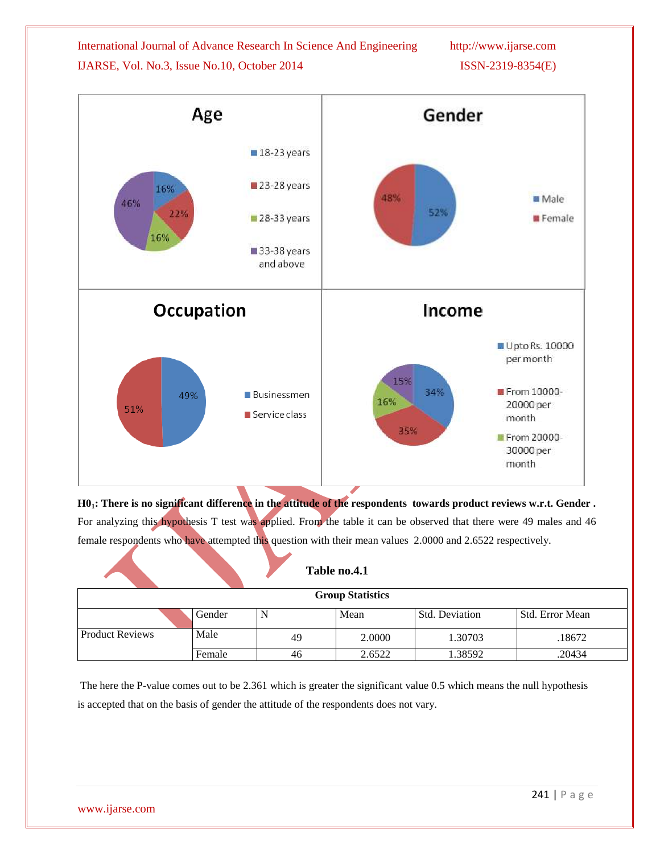



**H01: There is no significant difference in the attitude of the respondents towards product reviews w.r.t. Gender .** For analyzing this hypothesis T test was applied. From the table it can be observed that there were 49 males and 46 female respondents who have attempted this question with their mean values 2.0000 and 2.6522 respectively.

|                         |        |    | Table no.4.1 |                       |                 |  |  |  |  |  |
|-------------------------|--------|----|--------------|-----------------------|-----------------|--|--|--|--|--|
| <b>Group Statistics</b> |        |    |              |                       |                 |  |  |  |  |  |
|                         | Gender |    | Mean         | <b>Std. Deviation</b> | Std. Error Mean |  |  |  |  |  |
| <b>Product Reviews</b>  | Male   | 49 | 2.0000       | 1.30703               | .18672          |  |  |  |  |  |
|                         | Female | 46 | 2.6522       | 1.38592               | .20434          |  |  |  |  |  |

The here the P-value comes out to be 2.361 which is greater the significant value 0.5 which means the null hypothesis is accepted that on the basis of gender the attitude of the respondents does not vary.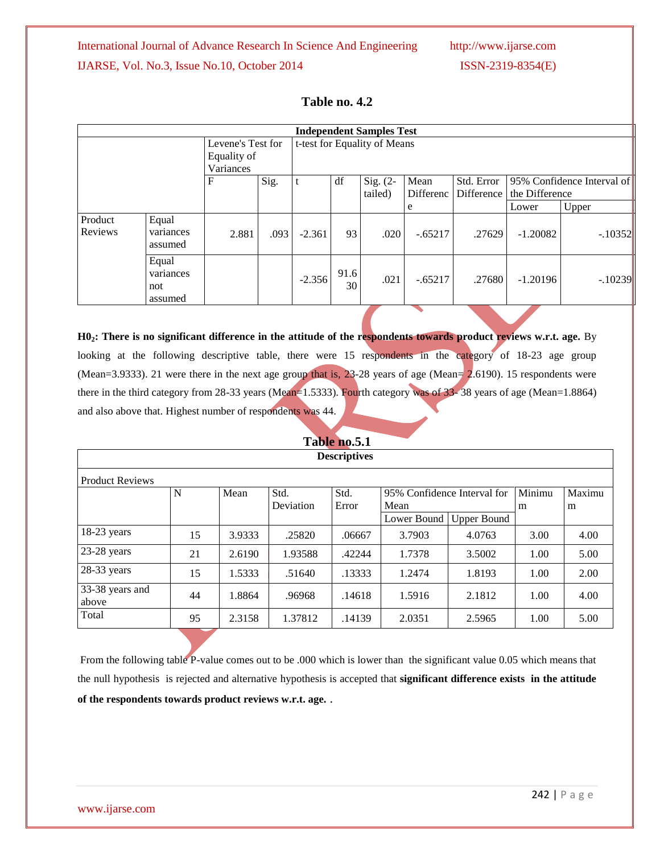|                                               | <b>Independent Samples Test</b>      |       |      |          |                       |                              |                          |                |                            |           |
|-----------------------------------------------|--------------------------------------|-------|------|----------|-----------------------|------------------------------|--------------------------|----------------|----------------------------|-----------|
| Levene's Test for<br>Equality of<br>Variances |                                      |       |      |          |                       | t-test for Equality of Means |                          |                |                            |           |
| $\mathbf F$                                   |                                      | Sig.  | t    | df       | Sig. $(2-$<br>tailed) | Mean<br>Differenc            | Std. Error<br>Difference | the Difference | 95% Confidence Interval of |           |
|                                               |                                      |       |      |          |                       |                              | e                        |                | Lower                      | Upper     |
| Product<br>Reviews                            | Equal<br>variances<br>assumed        | 2.881 | .093 | $-2.361$ | 93                    | .020                         | $-.65217$                | .27629         | $-1.20082$                 | $-.10352$ |
|                                               | Equal<br>variances<br>not<br>assumed |       |      | $-2.356$ | 91.6<br>30            | .021                         | $-.65217$                | .27680         | $-1.20196$                 | $-.10239$ |

## **Table no. 4.2**

**H02: There is no significant difference in the attitude of the respondents towards product reviews w.r.t. age.** By looking at the following descriptive table, there were 15 respondents in the category of 18-23 age group (Mean=3.9333). 21 were there in the next age group that is,  $23$ -28 years of age (Mean= 2.6190). 15 respondents were there in the third category from 28-33 years (Mean=1.5333). Fourth category was of 33-38 years of age (Mean=1.8864) and also above that. Highest number of respondents was 44.

## **Table no.5.1**

|                          | <b>Descriptives</b>                                                          |        |           |        |             |                    |      |      |  |  |  |
|--------------------------|------------------------------------------------------------------------------|--------|-----------|--------|-------------|--------------------|------|------|--|--|--|
| <b>Product Reviews</b>   |                                                                              |        |           |        |             |                    |      |      |  |  |  |
|                          | Minimu<br>Std.<br>Maximu<br>Std.<br>N<br>Mean<br>95% Confidence Interval for |        |           |        |             |                    |      |      |  |  |  |
|                          |                                                                              |        | Deviation | Error  | Mean        |                    | m    | m    |  |  |  |
|                          |                                                                              |        |           |        | Lower Bound | <b>Upper Bound</b> |      |      |  |  |  |
| 18-23 years              | 15                                                                           | 3.9333 | .25820    | .06667 | 3.7903      | 4.0763             | 3.00 | 4.00 |  |  |  |
| 23-28 years              | 21                                                                           | 2.6190 | 1.93588   | .42244 | 1.7378      | 3.5002             | 1.00 | 5.00 |  |  |  |
| 28-33 years              | 15                                                                           | 1.5333 | .51640    | .13333 | 1.2474      | 1.8193             | 1.00 | 2.00 |  |  |  |
| 33-38 years and<br>above | 44                                                                           | 1.8864 | .96968    | .14618 | 1.5916      | 2.1812             | 1.00 | 4.00 |  |  |  |
| Total                    | 95                                                                           | 2.3158 | 1.37812   | .14139 | 2.0351      | 2.5965             | 1.00 | 5.00 |  |  |  |

From the following table P-value comes out to be .000 which is lower than the significant value 0.05 which means that the null hypothesis is rejected and alternative hypothesis is accepted that **significant difference exists in the attitude of the respondents towards product reviews w.r.t. age.** .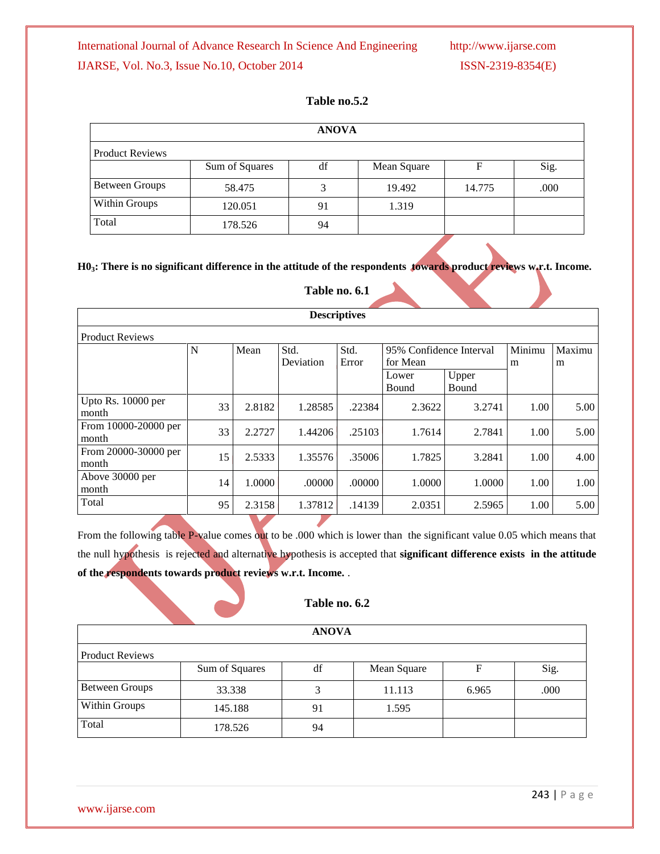## **Table no.5.2**

| <b>ANOVA</b>           |                |    |             |        |      |  |  |  |  |
|------------------------|----------------|----|-------------|--------|------|--|--|--|--|
| <b>Product Reviews</b> |                |    |             |        |      |  |  |  |  |
|                        | Sum of Squares | df | Mean Square |        | Sig. |  |  |  |  |
| <b>Between Groups</b>  | 58.475         |    | 19.492      | 14.775 | .000 |  |  |  |  |
| Within Groups          | 120.051        | 91 | 1.319       |        |      |  |  |  |  |
| Total                  | 178.526        | 94 |             |        |      |  |  |  |  |

**H03: There is no significant difference in the attitude of the respondents towards product reviews w.r.t. Income.**

## **Table no. 6.1**

| <b>Descriptives</b>           |    |        |           |        |                         |        |        |        |  |  |
|-------------------------------|----|--------|-----------|--------|-------------------------|--------|--------|--------|--|--|
| <b>Product Reviews</b>        |    |        |           |        |                         |        |        |        |  |  |
|                               | N  | Mean   | Std.      | Std.   | 95% Confidence Interval |        | Minimu | Maximu |  |  |
|                               |    |        | Deviation | Error  | for Mean                |        | m      | m      |  |  |
|                               |    |        |           |        | Upper<br>Lower          |        |        |        |  |  |
|                               |    |        |           |        | Bound                   | Bound  |        |        |  |  |
| Upto Rs. 10000 per<br>month   | 33 | 2.8182 | 1.28585   | .22384 | 2.3622                  | 3.2741 | 1.00   | 5.00   |  |  |
| From 10000-20000 per<br>month | 33 | 2.2727 | 1.44206   | .25103 | 1.7614                  | 2.7841 | 1.00   | 5.00   |  |  |
| From 20000-30000 per<br>month | 15 | 2.5333 | 1.35576   | .35006 | 1.7825                  | 3.2841 | 1.00   | 4.00   |  |  |
| Above 30000 per<br>month      | 14 | 1.0000 | .00000    | .00000 | 1.0000                  | 1.0000 | 1.00   | 1.00   |  |  |
| Total                         | 95 | 2.3158 | 1.37812   | .14139 | 2.0351                  | 2.5965 | 1.00   | 5.00   |  |  |

From the following table P-value comes out to be .000 which is lower than the significant value 0.05 which means that the null hypothesis is rejected and alternative hypothesis is accepted that **significant difference exists in the attitude of the respondents towards product reviews w.r.t. Income.** .

## **Table no. 6.2**

|                        |                | <b>ANOVA</b> |             |       |      |  |  |  |  |  |
|------------------------|----------------|--------------|-------------|-------|------|--|--|--|--|--|
| <b>Product Reviews</b> |                |              |             |       |      |  |  |  |  |  |
|                        | Sum of Squares | df           | Mean Square |       | Sig. |  |  |  |  |  |
| <b>Between Groups</b>  | 33.338         |              | 11.113      | 6.965 | .000 |  |  |  |  |  |
| Within Groups          | 145.188        | 91           | 1.595       |       |      |  |  |  |  |  |
| Total                  | 178.526        | 94           |             |       |      |  |  |  |  |  |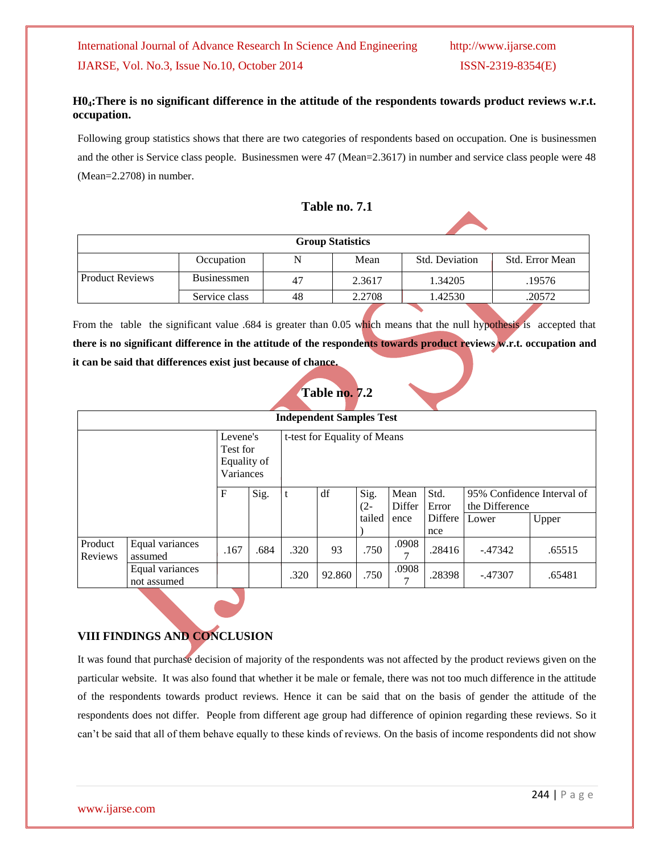## **H04:There is no significant difference in the attitude of the respondents towards product reviews w.r.t. occupation.**

Following group statistics shows that there are two categories of respondents based on occupation. One is businessmen and the other is Service class people. Businessmen were 47 (Mean=2.3617) in number and service class people were 48 (Mean=2.2708) in number.

## **Table no. 7.1**

| <b>Group Statistics</b> |                    |    |        |                |                 |  |  |  |  |  |
|-------------------------|--------------------|----|--------|----------------|-----------------|--|--|--|--|--|
|                         | Occupation         | N  | Mean   | Std. Deviation | Std. Error Mean |  |  |  |  |  |
| <b>Product Reviews</b>  | <b>Businessmen</b> | 47 | 2.3617 | 1.34205        | .19576          |  |  |  |  |  |
|                         | Service class      | 48 | 2.2708 | 1.42530        | .20572          |  |  |  |  |  |

From the table the significant value .684 is greater than 0.05 which means that the null hypothesis is accepted that **there is no significant difference in the attitude of the respondents towards product reviews w.r.t. occupation and it can be said that differences exist just because of chance.**

# **Table no. 7.2**

| <b>Independent Samples Test</b>                  |                                |      |      |      |                              |                |                |                |                                              |        |
|--------------------------------------------------|--------------------------------|------|------|------|------------------------------|----------------|----------------|----------------|----------------------------------------------|--------|
| Levene's<br>Test for<br>Equality of<br>Variances |                                |      |      |      | t-test for Equality of Means |                |                |                |                                              |        |
|                                                  |                                | F    | Sig. |      | df                           | Sig.<br>$(2 -$ | Mean<br>Differ | Std.<br>Error  | 95% Confidence Interval of<br>the Difference |        |
|                                                  |                                |      |      |      |                              | tailed         | ence           | Differe<br>nce | Lower                                        | Upper  |
| Product<br>Reviews                               | Equal variances<br>assumed     | .167 | .684 | .320 | 93                           | .750           | .0908<br>⇁     | .28416         | $-47342$                                     | .65515 |
|                                                  | Equal variances<br>not assumed |      |      | .320 | 92.860                       | .750           | .0908<br>⇁     | .28398         | $-.47307$                                    | .65481 |

## **VIII FINDINGS AND CONCLUSION**

It was found that purchase decision of majority of the respondents was not affected by the product reviews given on the particular website. It was also found that whether it be male or female, there was not too much difference in the attitude of the respondents towards product reviews. Hence it can be said that on the basis of gender the attitude of the respondents does not differ. People from different age group had difference of opinion regarding these reviews. So it can't be said that all of them behave equally to these kinds of reviews. On the basis of income respondents did not show